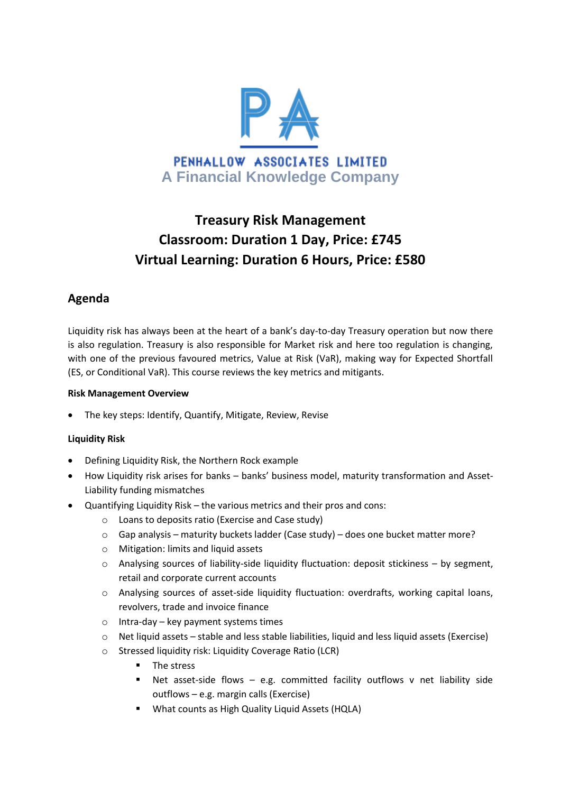

# **Treasury Risk Management Classroom: Duration 1 Day, Price: £745 Virtual Learning: Duration 6 Hours, Price: £580**

# **Agenda**

Liquidity risk has always been at the heart of a bank's day-to-day Treasury operation but now there is also regulation. Treasury is also responsible for Market risk and here too regulation is changing, with one of the previous favoured metrics, Value at Risk (VaR), making way for Expected Shortfall (ES, or Conditional VaR). This course reviews the key metrics and mitigants.

# **Risk Management Overview**

The key steps: Identify, Quantify, Mitigate, Review, Revise

# **Liquidity Risk**

- Defining Liquidity Risk, the Northern Rock example
- How Liquidity risk arises for banks banks' business model, maturity transformation and Asset-Liability funding mismatches
- Quantifying Liquidity Risk the various metrics and their pros and cons:
	- o Loans to deposits ratio (Exercise and Case study)
	- $\circ$  Gap analysis maturity buckets ladder (Case study) does one bucket matter more?
	- o Mitigation: limits and liquid assets
	- o Analysing sources of liability-side liquidity fluctuation: deposit stickiness by segment, retail and corporate current accounts
	- o Analysing sources of asset-side liquidity fluctuation: overdrafts, working capital loans, revolvers, trade and invoice finance
	- $\circ$  Intra-day key payment systems times
	- o Net liquid assets stable and less stable liabilities, liquid and less liquid assets (Exercise)
	- o Stressed liquidity risk: Liquidity Coverage Ratio (LCR)
		- **The stress**
		- Net asset-side flows e.g. committed facility outflows v net liability side outflows – e.g. margin calls (Exercise)
		- What counts as High Quality Liquid Assets (HQLA)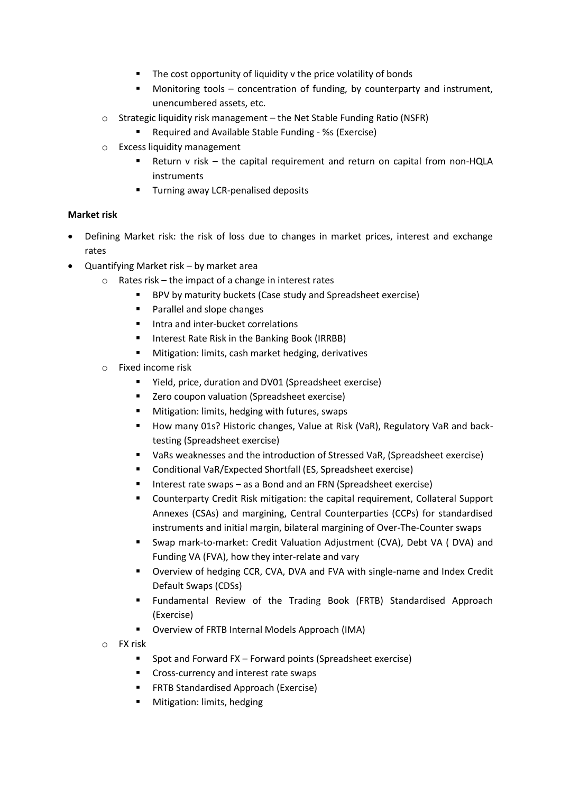- **The cost opportunity of liquidity v the price volatility of bonds**
- Monitoring tools concentration of funding, by counterparty and instrument, unencumbered assets, etc.
- o Strategic liquidity risk management the Net Stable Funding Ratio (NSFR)
	- Required and Available Stable Funding %s (Exercise)
- o Excess liquidity management
	- Return v risk the capital requirement and return on capital from non-HQLA instruments
	- **Turning away LCR-penalised deposits**

### **Market risk**

- Defining Market risk: the risk of loss due to changes in market prices, interest and exchange rates
- Quantifying Market risk by market area
	- o Rates risk the impact of a change in interest rates
		- BPV by maturity buckets (Case study and Spreadsheet exercise)
		- **Parallel and slope changes**
		- **Intra and inter-bucket correlations**
		- Interest Rate Risk in the Banking Book (IRRBB)
		- **Mitigation: limits, cash market hedging, derivatives**
	- o Fixed income risk
		- Yield, price, duration and DV01 (Spreadsheet exercise)
		- Zero coupon valuation (Spreadsheet exercise)
		- **Mitigation: limits, hedging with futures, swaps**
		- **How many 01s? Historic changes, Value at Risk (VaR), Regulatory VaR and back**testing (Spreadsheet exercise)
		- VaRs weaknesses and the introduction of Stressed VaR, (Spreadsheet exercise)
		- Conditional VaR/Expected Shortfall (ES, Spreadsheet exercise)
		- Interest rate swaps as a Bond and an FRN (Spreadsheet exercise)
		- **EXP** Counterparty Credit Risk mitigation: the capital requirement, Collateral Support Annexes (CSAs) and margining, Central Counterparties (CCPs) for standardised instruments and initial margin, bilateral margining of Over-The-Counter swaps
		- Swap mark-to-market: Credit Valuation Adjustment (CVA), Debt VA ( DVA) and Funding VA (FVA), how they inter-relate and vary
		- Overview of hedging CCR, CVA, DVA and FVA with single-name and Index Credit Default Swaps (CDSs)
		- Fundamental Review of the Trading Book (FRTB) Standardised Approach (Exercise)
		- Overview of FRTB Internal Models Approach (IMA)
	- o FX risk
		- Spot and Forward FX Forward points (Spreadsheet exercise)
		- **Cross-currency and interest rate swaps**
		- **FRTB Standardised Approach (Exercise)**
		- **•** Mitigation: limits, hedging